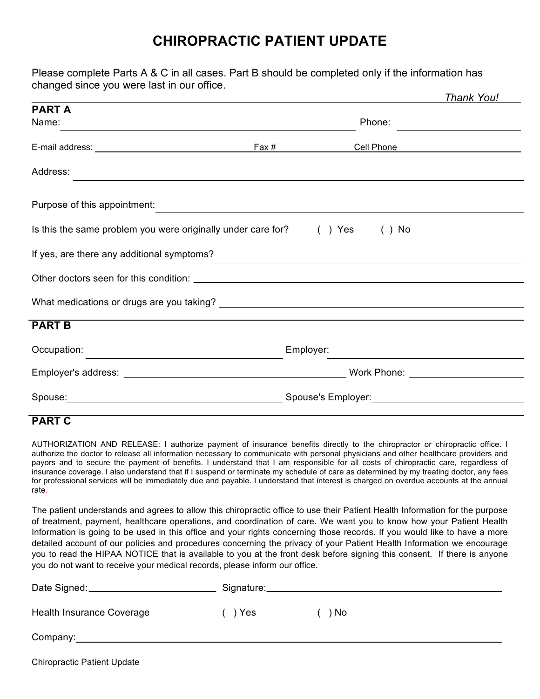## **CHIROPRACTIC PATIENT UPDATE**

Please complete Parts A & C in all cases. Part B should be completed only if the information has changed since you were last in our office.

|                                                                           |                                       | <b>Thank You!</b> |  |
|---------------------------------------------------------------------------|---------------------------------------|-------------------|--|
| <b>PART A</b>                                                             |                                       |                   |  |
| Name:                                                                     | Phone:                                |                   |  |
|                                                                           | Fax # Cell Phone                      |                   |  |
| Address:                                                                  |                                       |                   |  |
|                                                                           |                                       |                   |  |
| Is this the same problem you were originally under care for? () Yes () No |                                       |                   |  |
| If yes, are there any additional symptoms?                                |                                       |                   |  |
|                                                                           |                                       |                   |  |
|                                                                           |                                       |                   |  |
| <b>PART B</b>                                                             |                                       |                   |  |
| Occupation:                                                               | Employer:                             |                   |  |
|                                                                           |                                       |                   |  |
|                                                                           | Spouse's Employer: Spouse's Employer: |                   |  |

## **PART C**

AUTHORIZATION AND RELEASE: I authorize payment of insurance benefits directly to the chiropractor or chiropractic office. I authorize the doctor to release all information necessary to communicate with personal physicians and other healthcare providers and payors and to secure the payment of benefits. I understand that I am responsible for all costs of chiropractic care, regardless of insurance coverage. I also understand that if I suspend or terminate my schedule of care as determined by my treating doctor, any fees for professional services will be immediately due and payable. I understand that interest is charged on overdue accounts at the annual rate.

The patient understands and agrees to allow this chiropractic office to use their Patient Health Information for the purpose of treatment, payment, healthcare operations, and coordination of care. We want you to know how your Patient Health Information is going to be used in this office and your rights concerning those records. If you would like to have a more detailed account of our policies and procedures concerning the privacy of your Patient Health Information we encourage you to read the HIPAA NOTICE that is available to you at the front desk before signing this consent. If there is anyone you do not want to receive your medical records, please inform our office.

| Health Insurance Coverage | Yes | )No |
|---------------------------|-----|-----|
| Company:                  |     |     |

| <b>Chiropractic Patient Update</b> |  |  |
|------------------------------------|--|--|
|------------------------------------|--|--|